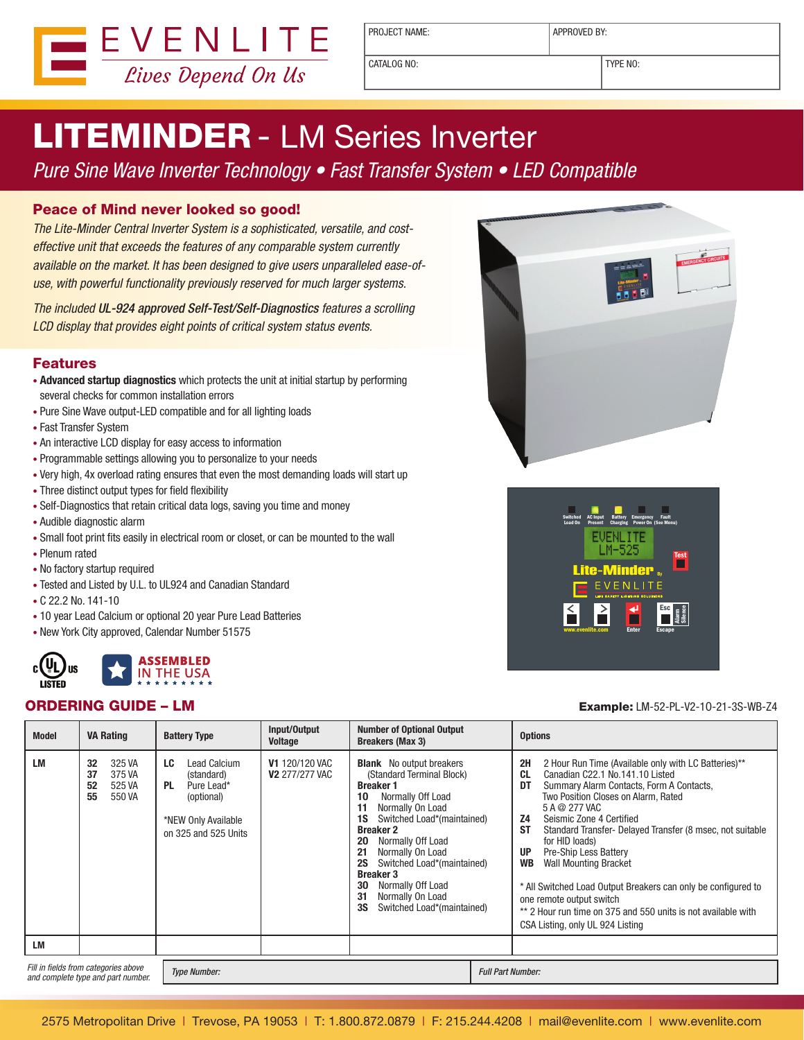

PROJECT NAME:  $\vert$  APPROVED BY:

CATALOG NO: TYPE NO:

# LITEMINDER - LM Series Inverter

### Pure Sine Wave Inverter Technology • Fast Transfer System • LED Compatible

#### Peace of Mind never looked so good!

The Lite-Minder Central Inverter System is a sophisticated, versatile, and costeffective unit that exceeds the features of any comparable system currently available on the market. It has been designed to give users unparalleled ease-ofuse, with powerful functionality previously reserved for much larger systems.

The included UL-924 approved Self-Test/Self-Diagnostics features a scrolling LCD display that provides eight points of critical system status events.

#### Features

- • **Advanced startup diagnostics** which protects the unit at initial startup by performing several checks for common installation errors
- Pure Sine Wave output-LED compatible and for all lighting loads
- Fast Transfer System
- An interactive LCD display for easy access to information
- Programmable settings allowing you to personalize to your needs
- Very high, 4x overload rating ensures that even the most demanding loads will start up
- • Three distinct output types for field flexibility
- Self-Diagnostics that retain critical data logs, saving you time and money
- • Audible diagnostic alarm
- Small foot print fits easily in electrical room or closet, or can be mounted to the wall
- • Plenum rated
- No factory startup required
- Tested and Listed by U.L. to UL924 and Canadian Standard
- • C 22.2 No. 141-10
- 10 year Lead Calcium or optional 20 year Pure Lead Batteries
- New York City approved, Calendar Number 51575







#### ORDERING GUIDE – LM Example: LM-52-PL-V2-1O-21-3S-WB-Z4

| <b>Model</b>                                                               | <b>VA Rating</b>                                             | <b>Battery Type</b>                                                                                                      | Input/Output<br><b>Voltage</b>                 | <b>Number of Optional Output</b><br><b>Breakers (Max 3)</b>                                                                                                                                                                                                                                                                                                                                                | <b>Options</b>                                                                                                                                                                                                                                                                                                                                                                                                                                                                                                                                                                                                                                        |
|----------------------------------------------------------------------------|--------------------------------------------------------------|--------------------------------------------------------------------------------------------------------------------------|------------------------------------------------|------------------------------------------------------------------------------------------------------------------------------------------------------------------------------------------------------------------------------------------------------------------------------------------------------------------------------------------------------------------------------------------------------------|-------------------------------------------------------------------------------------------------------------------------------------------------------------------------------------------------------------------------------------------------------------------------------------------------------------------------------------------------------------------------------------------------------------------------------------------------------------------------------------------------------------------------------------------------------------------------------------------------------------------------------------------------------|
| LM                                                                         | 32<br>325 VA<br>37<br>375 VA<br>52<br>525 VA<br>55<br>550 VA | Lead Calcium<br>LC<br>(standard)<br><b>PL</b><br>Pure Lead*<br>(optional)<br>*NEW Only Available<br>on 325 and 525 Units | <b>V1 120/120 VAC</b><br><b>V2 277/277 VAC</b> | <b>Blank</b> No output breakers<br>(Standard Terminal Block)<br><b>Breaker 1</b><br>10<br>Normally Off Load<br>11<br>Normally On Load<br>Switched Load*(maintained)<br>1S<br><b>Breaker 2</b><br>Normally Off Load<br>20<br>21<br>Normally On Load<br><b>2S</b><br>Switched Load*(maintained)<br><b>Breaker 3</b><br>30<br>Normally Off Load<br>31<br>Normally On Load<br>3S<br>Switched Load*(maintained) | 2H<br>2 Hour Run Time (Available only with LC Batteries)**<br><b>CL</b><br>Canadian C22.1 No.141.10 Listed<br>DT<br>Summary Alarm Contacts, Form A Contacts,<br>Two Position Closes on Alarm, Rated<br>5 A @ 277 VAC<br><b>Z4</b><br>Seismic Zone 4 Certified<br><b>ST</b><br>Standard Transfer- Delayed Transfer (8 msec, not suitable<br>for HID loads)<br><b>UP</b><br><b>Pre-Ship Less Battery</b><br><b>WB</b><br><b>Wall Mounting Bracket</b><br>* All Switched Load Output Breakers can only be configured to<br>one remote output switch<br>** 2 Hour run time on 375 and 550 units is not available with<br>CSA Listing, only UL 924 Listing |
| <b>LM</b>                                                                  |                                                              |                                                                                                                          |                                                |                                                                                                                                                                                                                                                                                                                                                                                                            |                                                                                                                                                                                                                                                                                                                                                                                                                                                                                                                                                                                                                                                       |
| Fill in fields from categories above<br>and complete type and part number. |                                                              | <b>Type Number:</b>                                                                                                      |                                                |                                                                                                                                                                                                                                                                                                                                                                                                            | <b>Full Part Number:</b>                                                                                                                                                                                                                                                                                                                                                                                                                                                                                                                                                                                                                              |